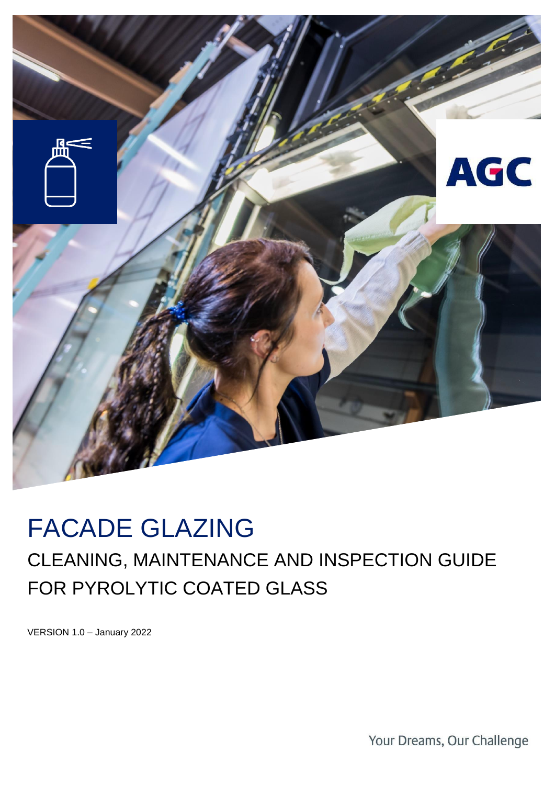

# FACADE GLAZING

## CLEANING, MAINTENANCE AND INSPECTION GUIDE FOR PYROLYTIC COATED GLASS

VERSION 1.0 – January 2022

Your Dreams, Our Challenge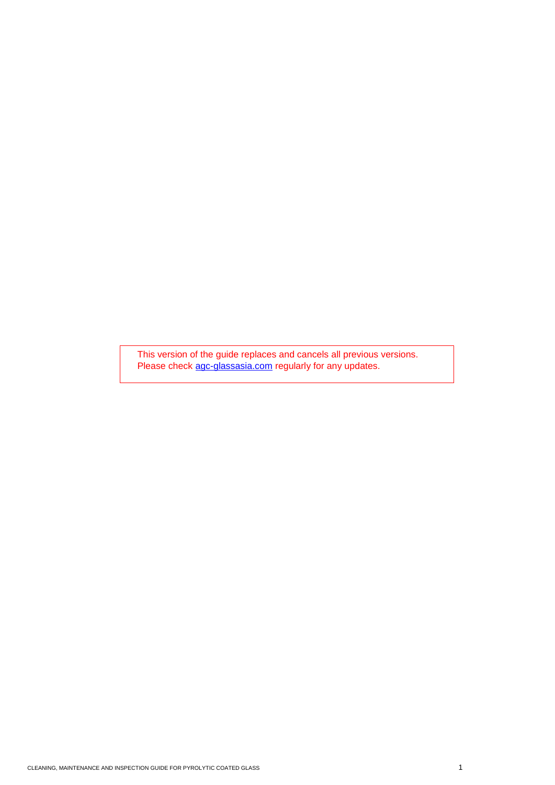This version of the guide replaces and cancels all previous versions. Please check [agc-glassasia.com](https://agc-glassasia.com/) regularly for any updates.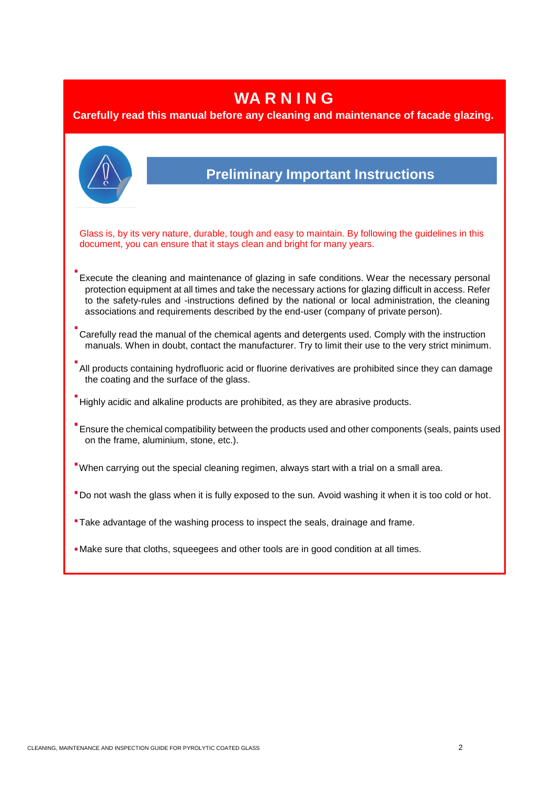### **WA R N I N G**

#### **Carefully read this manual before any cleaning and maintenance of facade glazing.**

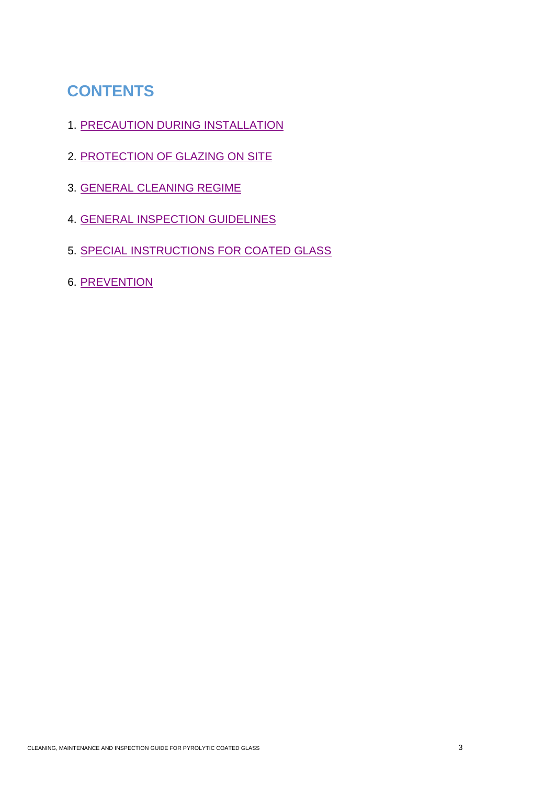### **CONTENTS**

- 1. [PRECAUTION DURING INSTALLATION](#page-4-0)
- 2. [PROTECTION OF GLAZING ON SITE](#page-4-1)
- 3. [GENERAL CLEANING REGIME](#page-5-0)
- 4. [GENERAL INSPECTION GUIDELINES](#page-6-0)
- 5. [SPECIAL INSTRUCTIONS FOR COATED GLASS](#page-7-0)
- 6. [PREVENTION](#page-7-1)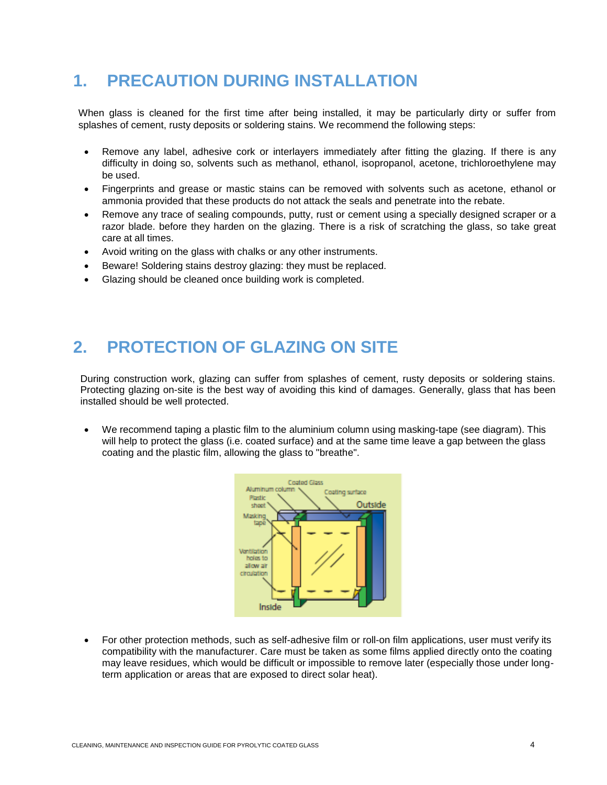### **1. PRECAUTION DURING INSTALLATION**

<span id="page-4-0"></span>When glass is cleaned for the first time after being installed, it may be particularly dirty or suffer from splashes of cement, rusty deposits or soldering stains. We recommend the following steps:

- Remove any label, adhesive cork or interlayers immediately after fitting the glazing. If there is any difficulty in doing so, solvents such as methanol, ethanol, isopropanol, acetone, trichloroethylene may be used.
- Fingerprints and grease or mastic stains can be removed with solvents such as acetone, ethanol or ammonia provided that these products do not attack the seals and penetrate into the rebate.
- Remove any trace of sealing compounds, putty, rust or cement using a specially designed scraper or a razor blade. before they harden on the glazing. There is a risk of scratching the glass, so take great care at all times.
- Avoid writing on the glass with chalks or any other instruments.
- Beware! Soldering stains destroy glazing: they must be replaced.
- Glazing should be cleaned once building work is completed.

### **2. PROTECTION OF GLAZING ON SITE**

<span id="page-4-1"></span>During construction work, glazing can suffer from splashes of cement, rusty deposits or soldering stains. Protecting glazing on-site is the best way of avoiding this kind of damages. Generally, glass that has been installed should be well protected.

• We recommend taping a plastic film to the aluminium column using masking-tape (see diagram). This will help to protect the glass (i.e. coated surface) and at the same time leave a gap between the glass coating and the plastic film, allowing the glass to "breathe".



• For other protection methods, such as self-adhesive film or roll-on film applications, user must verify its compatibility with the manufacturer. Care must be taken as some films applied directly onto the coating may leave residues, which would be difficult or impossible to remove later (especially those under longterm application or areas that are exposed to direct solar heat).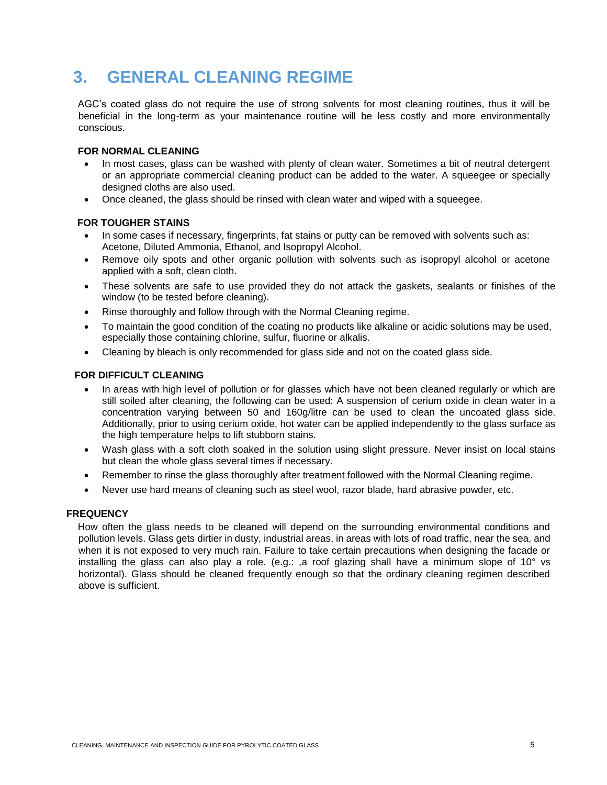### **3. GENERAL CLEANING REGIME**

<span id="page-5-0"></span>AGC's coated glass do not require the use of strong solvents for most cleaning routines, thus it will be beneficial in the long-term as your maintenance routine will be less costly and more environmentally conscious.

#### **FOR NORMAL CLEANING**

- In most cases, glass can be washed with plenty of clean water. Sometimes a bit of neutral detergent or an appropriate commercial cleaning product can be added to the water. A squeegee or specially designed cloths are also used.
- Once cleaned, the glass should be rinsed with clean water and wiped with a squeegee.

#### **FOR TOUGHER STAINS**

- In some cases if necessary, fingerprints, fat stains or putty can be removed with solvents such as: Acetone, Diluted Ammonia, Ethanol, and Isopropyl Alcohol.
- Remove oily spots and other organic pollution with solvents such as isopropyl alcohol or acetone applied with a soft, clean cloth.
- These solvents are safe to use provided they do not attack the gaskets, sealants or finishes of the window (to be tested before cleaning).
- Rinse thoroughly and follow through with the Normal Cleaning regime.
- To maintain the good condition of the coating no products like alkaline or acidic solutions may be used, especially those containing chlorine, sulfur, fluorine or alkalis.
- Cleaning by bleach is only recommended for glass side and not on the coated glass side.

#### **FOR DIFFICULT CLEANING**

- In areas with high level of pollution or for glasses which have not been cleaned regularly or which are still soiled after cleaning, the following can be used: A suspension of cerium oxide in clean water in a concentration varying between 50 and 160g/litre can be used to clean the uncoated glass side. Additionally, prior to using cerium oxide, hot water can be applied independently to the glass surface as the high temperature helps to lift stubborn stains.
- Wash glass with a soft cloth soaked in the solution using slight pressure. Never insist on local stains but clean the whole glass several times if necessary.
- Remember to rinse the glass thoroughly after treatment followed with the Normal Cleaning regime.
- Never use hard means of cleaning such as steel wool, razor blade, hard abrasive powder, etc.

#### **FREQUENCY**

How often the glass needs to be cleaned will depend on the surrounding environmental conditions and pollution levels. Glass gets dirtier in dusty, industrial areas, in areas with lots of road traffic, near the sea, and when it is not exposed to very much rain. Failure to take certain precautions when designing the facade or installing the glass can also play a role. (e.g.: ,a roof glazing shall have a minimum slope of 10° vs horizontal). Glass should be cleaned frequently enough so that the ordinary cleaning regimen described above is sufficient.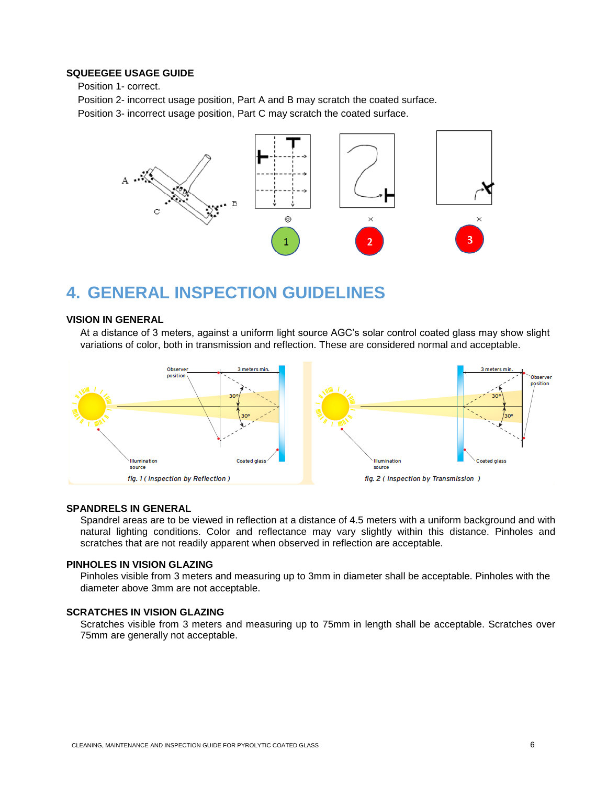#### **SQUEEGEE USAGE GUIDE**

Position 1- correct.

Position 2- incorrect usage position, Part A and B may scratch the coated surface. Position 3- incorrect usage position, Part C may scratch the coated surface.



### **4. GENERAL INSPECTION GUIDELINES**

#### **VISION IN GENERAL**

<span id="page-6-0"></span>At a distance of 3 meters, against a uniform light source AGC's solar control coated glass may show slight variations of color, both in transmission and reflection. These are considered normal and acceptable.



#### **SPANDRELS IN GENERAL**

Spandrel areas are to be viewed in reflection at a distance of 4.5 meters with a uniform background and with natural lighting conditions. Color and reflectance may vary slightly within this distance. Pinholes and scratches that are not readily apparent when observed in reflection are acceptable.

#### **PINHOLES IN VISION GLAZING**

Pinholes visible from 3 meters and measuring up to 3mm in diameter shall be acceptable. Pinholes with the diameter above 3mm are not acceptable.

#### **SCRATCHES IN VISION GLAZING**

Scratches visible from 3 meters and measuring up to 75mm in length shall be acceptable. Scratches over 75mm are generally not acceptable.